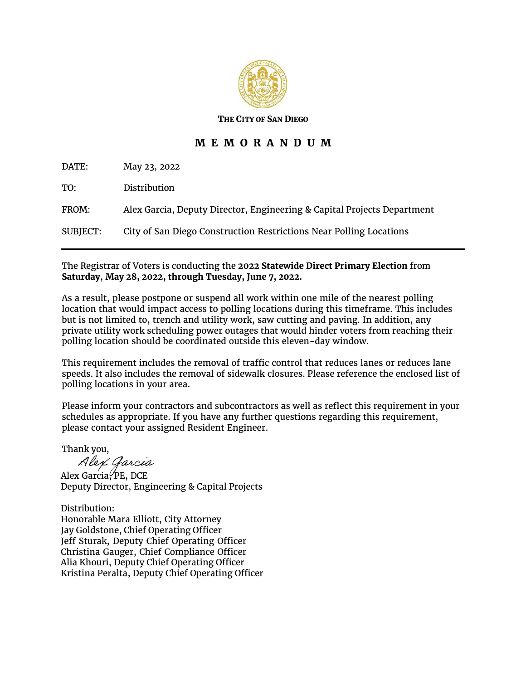

**THE CITY OF SAN DIEGO**

## **M E M O R A N D U M**

DATE: May 23, 2022 TO: Distribution FROM: Alex Garcia, Deputy Director, Engineering & Capital Projects Department SUBJECT: City of San Diego Construction Restrictions Near Polling Locations

## The Registrar of Voters is conducting the **2022 Statewide Direct Primary Election** from **Saturday**, **May 28, 2022, through Tuesday, June 7, 2022.**

As a result, please postpone or suspend all work within one mile of the nearest polling location that would impact access to polling locations during this timeframe. This includes but is not limited to, trench and utility work, saw cutting and paving. In addition, any private utility work scheduling power outages that would hinder voters from reaching their polling location should be coordinated outside this eleven-day window.

This requirement includes the removal of traffic control that reduces lanes or reduces lane speeds. It also includes the removal of sidewalk closures. Please reference the enclosed list of polling locations in your area.

Please inform your contractors and subcontractors as well as reflect this requirement in your schedules as appropriate. If you have any further questions regarding this requirement, please contact your assigned Resident Engineer.

Thank you,

Alex Garcia, PE, DCE Deputy Director, Engineering & Capital Projects

Distribution: Honorable Mara Elliott, City Attorney Jay Goldstone, Chief Operating Officer Jeff Sturak, Deputy Chief Operating Officer Christina Gauger, Chief Compliance Officer Alia Khouri, Deputy Chief Operating Officer Kristina Peralta, Deputy Chief Operating Officer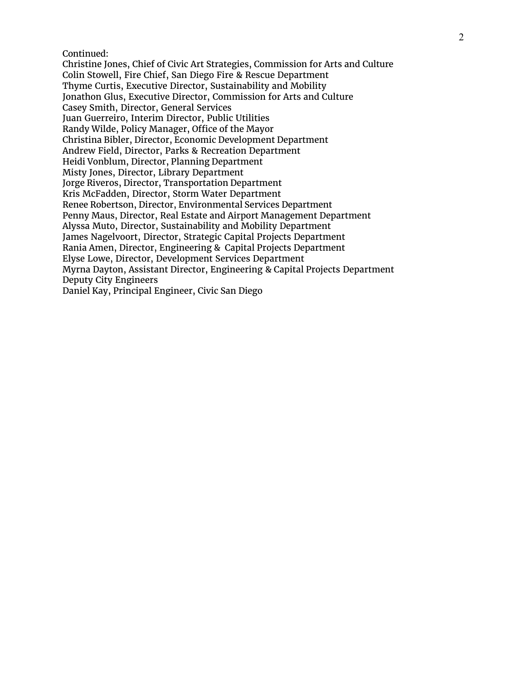Continued:

Christine Jones, Chief of Civic Art Strategies, Commission for Arts and Culture Colin Stowell, Fire Chief, San Diego Fire & Rescue Department Thyme Curtis, Executive Director, Sustainability and Mobility Jonathon Glus, Executive Director, Commission for Arts and Culture Casey Smith, Director, General Services Juan Guerreiro, Interim Director, Public Utilities Randy Wilde, Policy Manager, Office of the Mayor Christina Bibler, Director, Economic Development Department Andrew Field, Director, Parks & Recreation Department Heidi Vonblum, Director, Planning Department Misty Jones, Director, Library Department Jorge Riveros, Director, Transportation Department Kris McFadden, Director, Storm Water Department Renee Robertson, Director, Environmental Services Department Penny Maus, Director, Real Estate and Airport Management Department Alyssa Muto, Director, Sustainability and Mobility Department James Nagelvoort, Director, Strategic Capital Projects Department Rania Amen, Director, Engineering & Capital Projects Department Elyse Lowe, Director, Development Services Department Myrna Dayton, Assistant Director, Engineering & Capital Projects Department Deputy City Engineers Daniel Kay, Principal Engineer, Civic San Diego